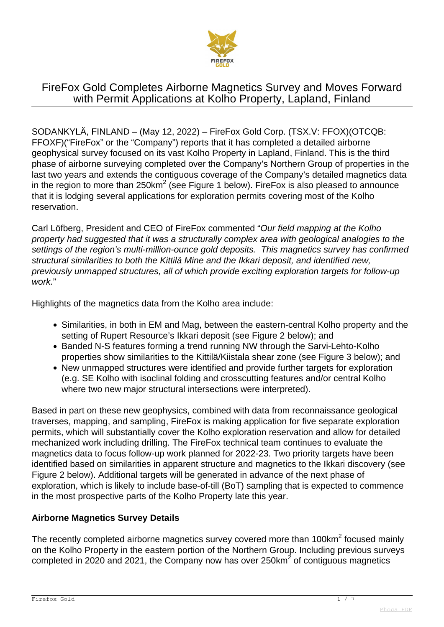

SODANKYLÄ, FINLAND – (May 12, 2022) – FireFox Gold Corp. (TSX.V: FFOX)(OTCQB: FFOXF)("FireFox" or the "Company") reports that it has completed a detailed airborne geophysical survey focused on its vast Kolho Property in Lapland, Finland. This is the third phase of airborne surveying completed over the Company's Northern Group of properties in the last two years and extends the contiguous coverage of the Company's detailed magnetics data in the region to more than 250km<sup>2</sup> (see Figure 1 below). FireFox is also pleased to announce that it is lodging several applications for exploration permits covering most of the Kolho reservation.

Carl Löfberg, President and CEO of FireFox commented "Our field mapping at the Kolho property had suggested that it was a structurally complex area with geological analogies to the settings of the region's multi-million-ounce gold deposits. This magnetics survey has confirmed structural similarities to both the Kittilä Mine and the Ikkari deposit, and identified new, previously unmapped structures, all of which provide exciting exploration targets for follow-up work."

Highlights of the magnetics data from the Kolho area include:

- Similarities, in both in EM and Mag, between the eastern-central Kolho property and the setting of Rupert Resource's Ikkari deposit (see Figure 2 below); and
- Banded N-S features forming a trend running NW through the Sarvi-Lehto-Kolho properties show similarities to the Kittilä/Kiistala shear zone (see Figure 3 below); and
- New unmapped structures were identified and provide further targets for exploration (e.g. SE Kolho with isoclinal folding and crosscutting features and/or central Kolho where two new major structural intersections were interpreted).

Based in part on these new geophysics, combined with data from reconnaissance geological traverses, mapping, and sampling, FireFox is making application for five separate exploration permits, which will substantially cover the Kolho exploration reservation and allow for detailed mechanized work including drilling. The FireFox technical team continues to evaluate the magnetics data to focus follow-up work planned for 2022-23. Two priority targets have been identified based on similarities in apparent structure and magnetics to the Ikkari discovery (see Figure 2 below). Additional targets will be generated in advance of the next phase of exploration, which is likely to include base-of-till (BoT) sampling that is expected to commence in the most prospective parts of the Kolho Property late this year.

#### **Airborne Magnetics Survey Details**

The recently completed airborne magnetics survey covered more than 100km<sup>2</sup> focused mainly on the Kolho Property in the eastern portion of the Northern Group. Including previous surveys completed in 2020 and 2021, the Company now has over 250km<sup>2</sup> of contiguous magnetics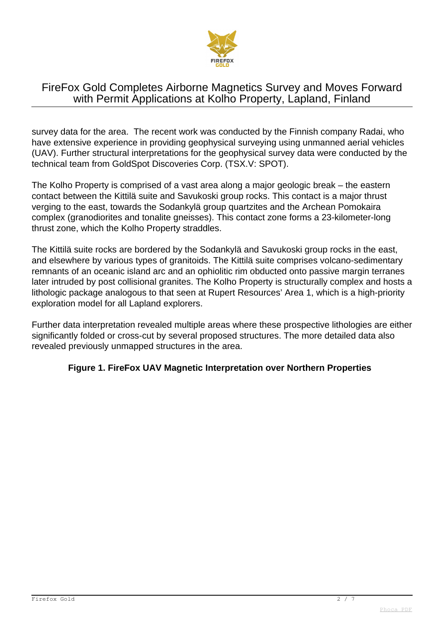

survey data for the area. The recent work was conducted by the Finnish company Radai, who have extensive experience in providing geophysical surveying using unmanned aerial vehicles (UAV). Further structural interpretations for the geophysical survey data were conducted by the technical team from GoldSpot Discoveries Corp. (TSX.V: SPOT).

The Kolho Property is comprised of a vast area along a major geologic break – the eastern contact between the Kittilä suite and Savukoski group rocks. This contact is a major thrust verging to the east, towards the Sodankylä group quartzites and the Archean Pomokaira complex (granodiorites and tonalite gneisses). This contact zone forms a 23-kilometer-long thrust zone, which the Kolho Property straddles.

The Kittilä suite rocks are bordered by the Sodankylä and Savukoski group rocks in the east, and elsewhere by various types of granitoids. The Kittilä suite comprises volcano-sedimentary remnants of an oceanic island arc and an ophiolitic rim obducted onto passive margin terranes later intruded by post collisional granites. The Kolho Property is structurally complex and hosts a lithologic package analogous to that seen at Rupert Resources' Area 1, which is a high-priority exploration model for all Lapland explorers.

Further data interpretation revealed multiple areas where these prospective lithologies are either significantly folded or cross-cut by several proposed structures. The more detailed data also revealed previously unmapped structures in the area.

#### **Figure 1. FireFox UAV Magnetic Interpretation over Northern Properties**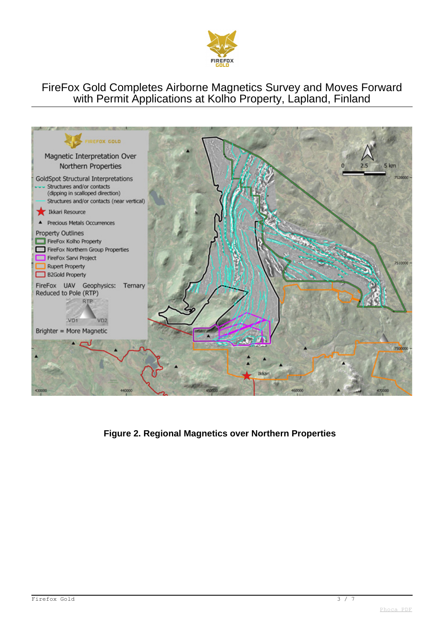



**Figure 2. Regional Magnetics over Northern Properties**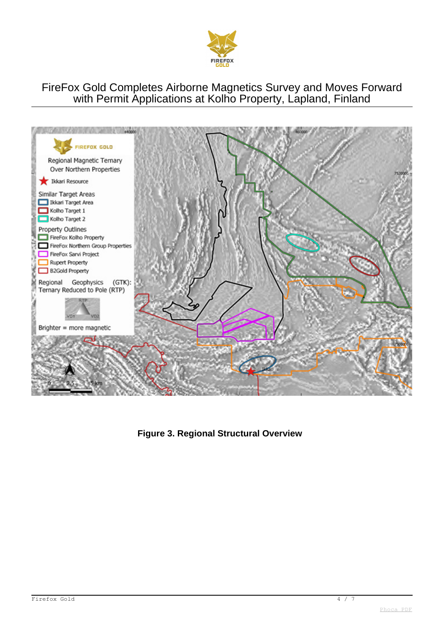



**Figure 3. Regional Structural Overview**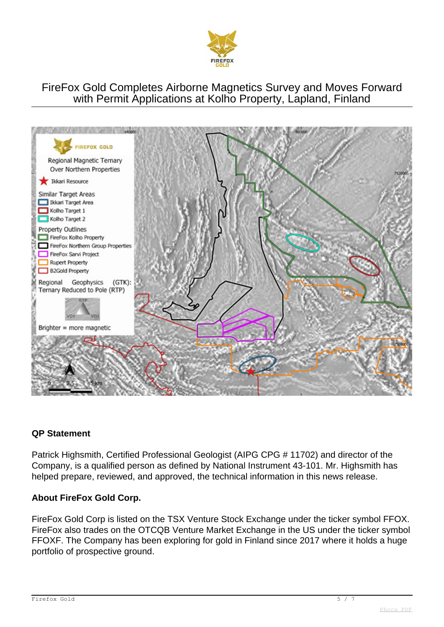



#### **QP Statement**

Patrick Highsmith, Certified Professional Geologist (AIPG CPG # 11702) and director of the Company, is a qualified person as defined by National Instrument 43-101. Mr. Highsmith has helped prepare, reviewed, and approved, the technical information in this news release.

#### **About FireFox Gold Corp.**

FireFox Gold Corp is listed on the TSX Venture Stock Exchange under the ticker symbol FFOX. FireFox also trades on the OTCQB Venture Market Exchange in the US under the ticker symbol FFOXF. The Company has been exploring for gold in Finland since 2017 where it holds a huge portfolio of prospective ground.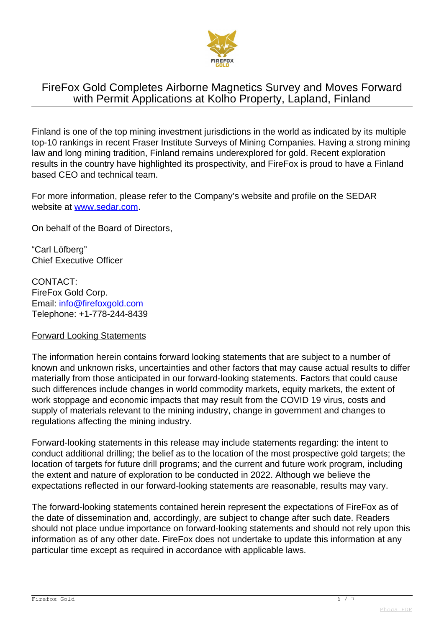

Finland is one of the top mining investment jurisdictions in the world as indicated by its multiple top-10 rankings in recent Fraser Institute Surveys of Mining Companies. Having a strong mining law and long mining tradition, Finland remains underexplored for gold. Recent exploration results in the country have highlighted its prospectivity, and FireFox is proud to have a Finland based CEO and technical team.

For more information, please refer to the Company's website and profile on the SEDAR website at [www.sedar.com](http://www.sedar.com).

On behalf of the Board of Directors,

"Carl Löfberg" Chief Executive Officer

CONTACT: FireFox Gold Corp. Email: [info@firefoxgold.com](mailto:info@firefoxgold.com) Telephone: +1-778-244-8439

#### Forward Looking Statements

The information herein contains forward looking statements that are subject to a number of known and unknown risks, uncertainties and other factors that may cause actual results to differ materially from those anticipated in our forward-looking statements. Factors that could cause such differences include changes in world commodity markets, equity markets, the extent of work stoppage and economic impacts that may result from the COVID 19 virus, costs and supply of materials relevant to the mining industry, change in government and changes to regulations affecting the mining industry.

Forward-looking statements in this release may include statements regarding: the intent to conduct additional drilling; the belief as to the location of the most prospective gold targets; the location of targets for future drill programs; and the current and future work program, including the extent and nature of exploration to be conducted in 2022. Although we believe the expectations reflected in our forward-looking statements are reasonable, results may vary.

The forward-looking statements contained herein represent the expectations of FireFox as of the date of dissemination and, accordingly, are subject to change after such date. Readers should not place undue importance on forward-looking statements and should not rely upon this information as of any other date. FireFox does not undertake to update this information at any particular time except as required in accordance with applicable laws.